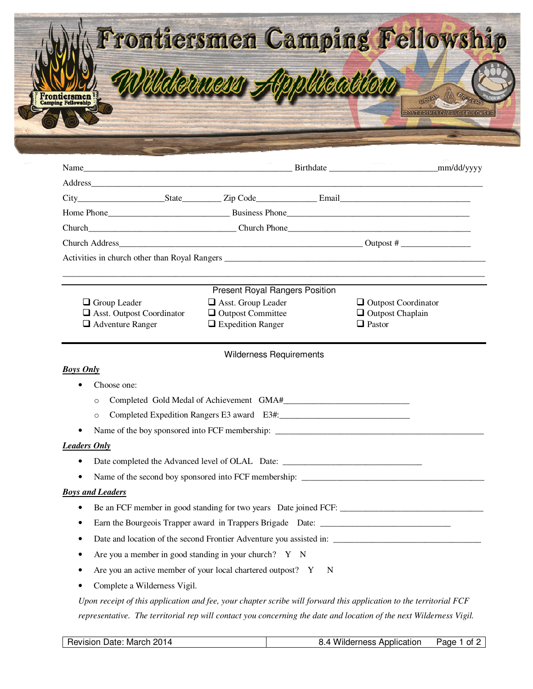| Frontiersmen Camping Fellowship    |  |
|------------------------------------|--|
| letuen Application<br>Frontiersmen |  |

|                                                                                                                                                                                                                                     |                                |   |                            | _mm/dd/yyyy |  |
|-------------------------------------------------------------------------------------------------------------------------------------------------------------------------------------------------------------------------------------|--------------------------------|---|----------------------------|-------------|--|
|                                                                                                                                                                                                                                     |                                |   |                            |             |  |
|                                                                                                                                                                                                                                     |                                |   |                            |             |  |
|                                                                                                                                                                                                                                     |                                |   |                            |             |  |
|                                                                                                                                                                                                                                     |                                |   |                            |             |  |
|                                                                                                                                                                                                                                     |                                |   |                            |             |  |
| Activities in church other than Royal Rangers <b>Exercísion</b> Contractor Contractor Contractor Contractor Contractor Contractor Contractor Contractor Contractor Contractor Contractor Contractor Contractor Contractor Contracto |                                |   |                            |             |  |
|                                                                                                                                                                                                                                     |                                |   |                            |             |  |
|                                                                                                                                                                                                                                     | Present Royal Rangers Position |   |                            |             |  |
| $\Box$ Group Leader                                                                                                                                                                                                                 | Asst. Group Leader             |   | $\Box$ Outpost Coordinator |             |  |
| $\Box$ Asst. Outpost Coordinator                                                                                                                                                                                                    | $\Box$ Outpost Committee       |   | $\Box$ Outpost Chaplain    |             |  |
| $\Box$ Adventure Ranger                                                                                                                                                                                                             | $\Box$ Expedition Ranger       |   | $\Box$ Pastor              |             |  |
|                                                                                                                                                                                                                                     | <b>Wilderness Requirements</b> |   |                            |             |  |
| <b>Boys Only</b>                                                                                                                                                                                                                    |                                |   |                            |             |  |
| Choose one:                                                                                                                                                                                                                         |                                |   |                            |             |  |
| $\circ$                                                                                                                                                                                                                             |                                |   |                            |             |  |
| $\circ$                                                                                                                                                                                                                             |                                |   |                            |             |  |
| Name of the boy sponsored into FCF membership: __________________________________                                                                                                                                                   |                                |   |                            |             |  |
| <b>Leaders Only</b>                                                                                                                                                                                                                 |                                |   |                            |             |  |
| $\bullet$                                                                                                                                                                                                                           |                                |   |                            |             |  |
| ٠                                                                                                                                                                                                                                   |                                |   |                            |             |  |
| <b>Boys and Leaders</b>                                                                                                                                                                                                             |                                |   |                            |             |  |
| ٠                                                                                                                                                                                                                                   |                                |   |                            |             |  |
| Earn the Bourgeois Trapper award in Trappers Brigade Date: ______________________<br>٠                                                                                                                                              |                                |   |                            |             |  |
|                                                                                                                                                                                                                                     |                                |   |                            |             |  |
| Are you a member in good standing in your church? $Y \times N$                                                                                                                                                                      |                                |   |                            |             |  |
| Are you an active member of your local chartered outpost? Y                                                                                                                                                                         |                                | N |                            |             |  |
| Complete a Wilderness Vigil.                                                                                                                                                                                                        |                                |   |                            |             |  |
| Upon receipt of this application and fee, your chapter scribe will forward this application to the territorial FCF                                                                                                                  |                                |   |                            |             |  |
| representative. The territorial rep will contact you concerning the date and location of the next Wilderness Vigil.                                                                                                                 |                                |   |                            |             |  |